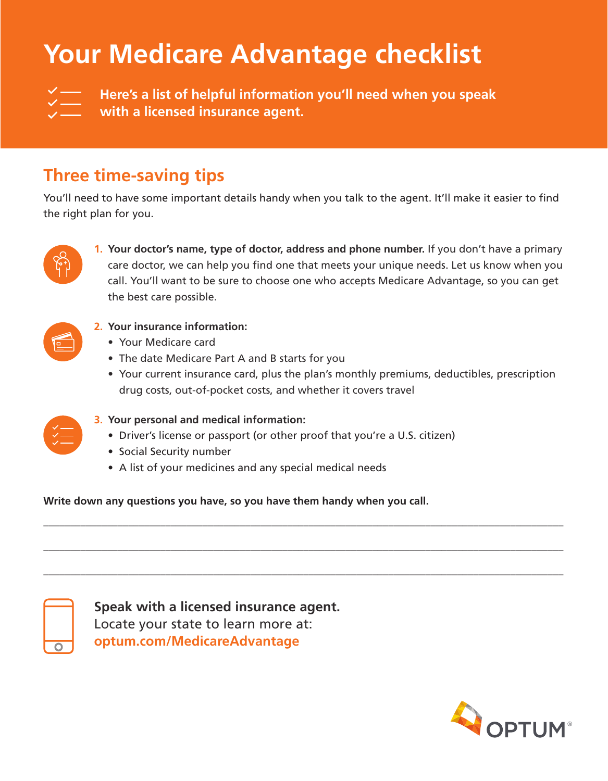## **Your Medicare Advantage checklist**

**Here's a list of helpful information you'll need when you speak with a licensed insurance agent.**

## **Three time-saving tips**

You'll need to have some important details handy when you talk to the agent. It'll make it easier to find the right plan for you.



**1. Your doctor's name, type of doctor, address and phone number.** If you don't have a primary care doctor, we can help you find one that meets your unique needs. Let us know when you call. You'll want to be sure to choose one who accepts Medicare Advantage, so you can get the best care possible.



**2. Your insurance information:**

- Your Medicare card
- The date Medicare Part A and B starts for you
- Your current insurance card, plus the plan's monthly premiums, deductibles, prescription drug costs, out-of-pocket costs, and whether it covers travel



## **3. Your personal and medical information:**

• Driver's license or passport (or other proof that you're a U.S. citizen)

**\_\_\_\_\_\_\_\_\_\_\_\_\_\_\_\_\_\_\_\_\_\_\_\_\_\_\_\_\_\_\_\_\_\_\_\_\_\_\_\_\_\_\_\_\_\_\_\_\_\_\_\_\_\_\_\_\_\_\_\_\_\_\_\_\_\_\_\_\_\_\_\_\_\_\_\_\_\_\_\_\_\_\_\_\_\_\_\_\_\_\_\_\_\_\_\_\_\_**

**\_\_\_\_\_\_\_\_\_\_\_\_\_\_\_\_\_\_\_\_\_\_\_\_\_\_\_\_\_\_\_\_\_\_\_\_\_\_\_\_\_\_\_\_\_\_\_\_\_\_\_\_\_\_\_\_\_\_\_\_\_\_\_\_\_\_\_\_\_\_\_\_\_\_\_\_\_\_\_\_\_\_\_\_\_\_\_\_\_\_\_\_\_\_\_\_\_\_**

**\_\_\_\_\_\_\_\_\_\_\_\_\_\_\_\_\_\_\_\_\_\_\_\_\_\_\_\_\_\_\_\_\_\_\_\_\_\_\_\_\_\_\_\_\_\_\_\_\_\_\_\_\_\_\_\_\_\_\_\_\_\_\_\_\_\_\_\_\_\_\_\_\_\_\_\_\_\_\_\_\_\_\_\_\_\_\_\_\_\_\_\_\_\_\_\_\_\_**

- Social Security number
- A list of your medicines and any special medical needs

**Write down any questions you have, so you have them handy when you call.**

**Speak with a licensed insurance agent.**  Locate your state to learn more at: **optum.com/MedicareAdvantage**